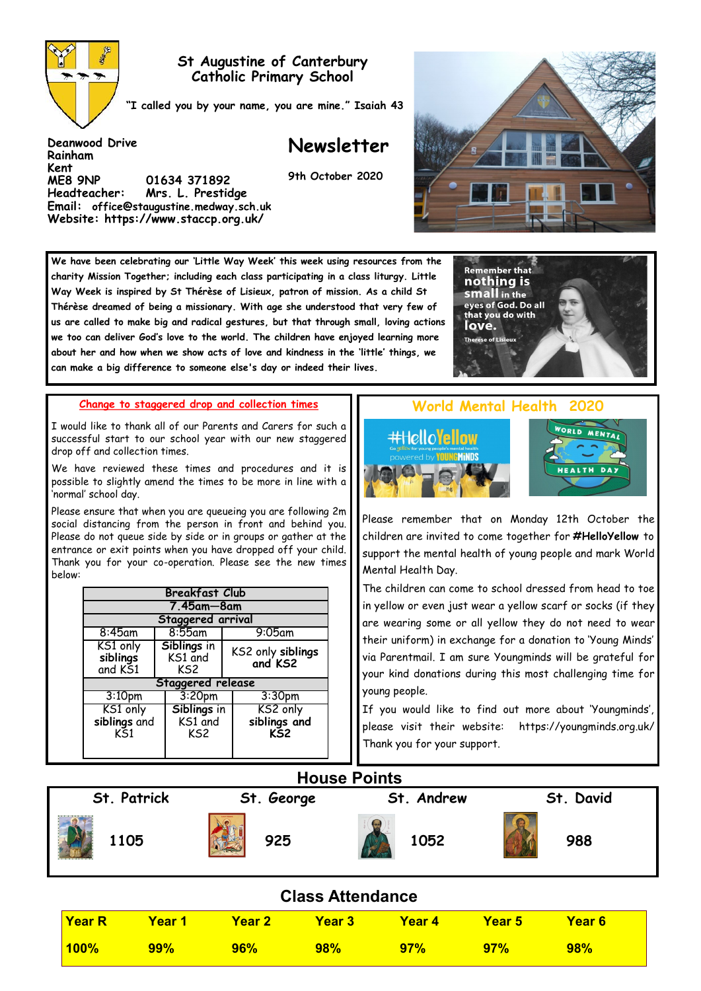

**Deanwood Drive**

**Rainham Kent** 

### **St Augustine of Canterbury Catholic Primary School**

**"I called you by your name, you are mine." Isaiah 43**

## **Newsletter**

**9th October 2020**



**We have been celebrating our 'Little Way Week' this week using resources from the charity Mission Together; including each class participating in a class liturgy. Little Way Week is inspired by St Thérèse of Lisieux, patron of mission. As a child St Thérèse dreamed of being a missionary. With age she understood that very few of us are called to make big and radical gestures, but that through small, loving actions we too can deliver God's love to the world. The children have enjoyed learning more about her and how when we show acts of love and kindness in the 'little' things, we can make a big difference to someone else's day or indeed their lives.** 

**Change to staggered drop and collection times** 

**ME8 9NP 01634 371892** 

**Headteacher: Mrs. L. Prestidge Email: office@staugustine.medway.sch.uk Website: https://www.staccp.org.uk/**

I would like to thank all of our Parents and Carers for such a successful start to our school year with our new staggered drop off and collection times.

We have reviewed these times and procedures and it is possible to slightly amend the times to be more in line with a 'normal' school day.

Please ensure that when you are queueing you are following 2m social distancing from the person in front and behind you. Please do not queue side by side or in groups or gather at the entrance or exit points when you have dropped off your child. Thank you for your co-operation. Please see the new times below:

| <b>Breakfast Club</b>                   |                               |                                              |  |  |  |  |  |  |
|-----------------------------------------|-------------------------------|----------------------------------------------|--|--|--|--|--|--|
| 7.45am—8am                              |                               |                                              |  |  |  |  |  |  |
| Staggered arrival                       |                               |                                              |  |  |  |  |  |  |
| $8:45$ am                               | $8:55$ am                     | $9:05$ am                                    |  |  |  |  |  |  |
| KS1 only<br>siblings<br>and KS1         | Siblings in<br>KS1 and<br>KS2 | KS2 only siblings<br>and KS2                 |  |  |  |  |  |  |
| Staggered release                       |                               |                                              |  |  |  |  |  |  |
| 3:10 <sub>pm</sub>                      | 3:20 <sub>pm</sub>            | 3:30 <sub>pm</sub>                           |  |  |  |  |  |  |
| KS1 only<br>siblings and<br>$K\bar{S}1$ | Siblings in<br>KS1 and<br>KS2 | KS2 only<br>siblings and<br>K <sub>S</sub> 2 |  |  |  |  |  |  |

# **World Mental Health**

**Remember that** nothing is **SMall** in the eyes of God. Do all that you do with love. **Therese of Lisieux** 





Please remember that on Monday 12th October the children are invited to come together for **#HelloYellow** to support the mental health of young people and mark World Mental Health Day.

The children can come to school dressed from head to toe in yellow or even just wear a yellow scarf or socks (if they are wearing some or all yellow they do not need to wear their uniform) in exchange for a donation to 'Young Minds' via Parentmail. I am sure Youngminds will be grateful for your kind donations during this most challenging time for young people.

If you would like to find out more about 'Youngminds', please visit their website: https://youngminds.org.uk/ Thank you for your support.



### **Class Attendance**

| Year R  | Year 1     | <b>The Year 2</b> | <b>Year 3</b> | Year 4 | <b>Year 5</b> | Year 6 |  |
|---------|------------|-------------------|---------------|--------|---------------|--------|--|
| $100\%$ | <b>99%</b> | <b>96%</b>        | 98%           | $97\%$ | 97%           | 98%    |  |